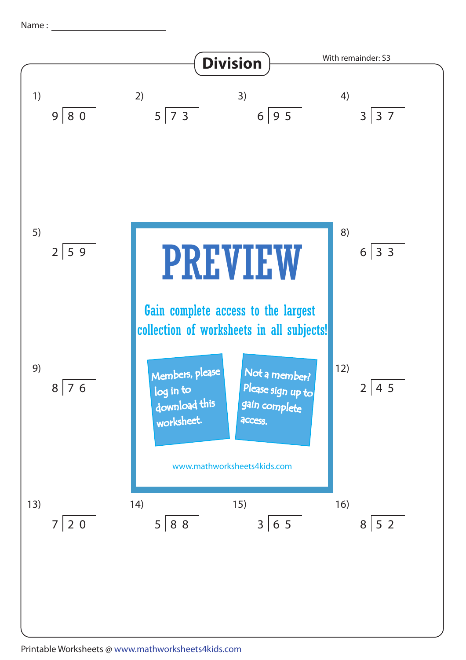